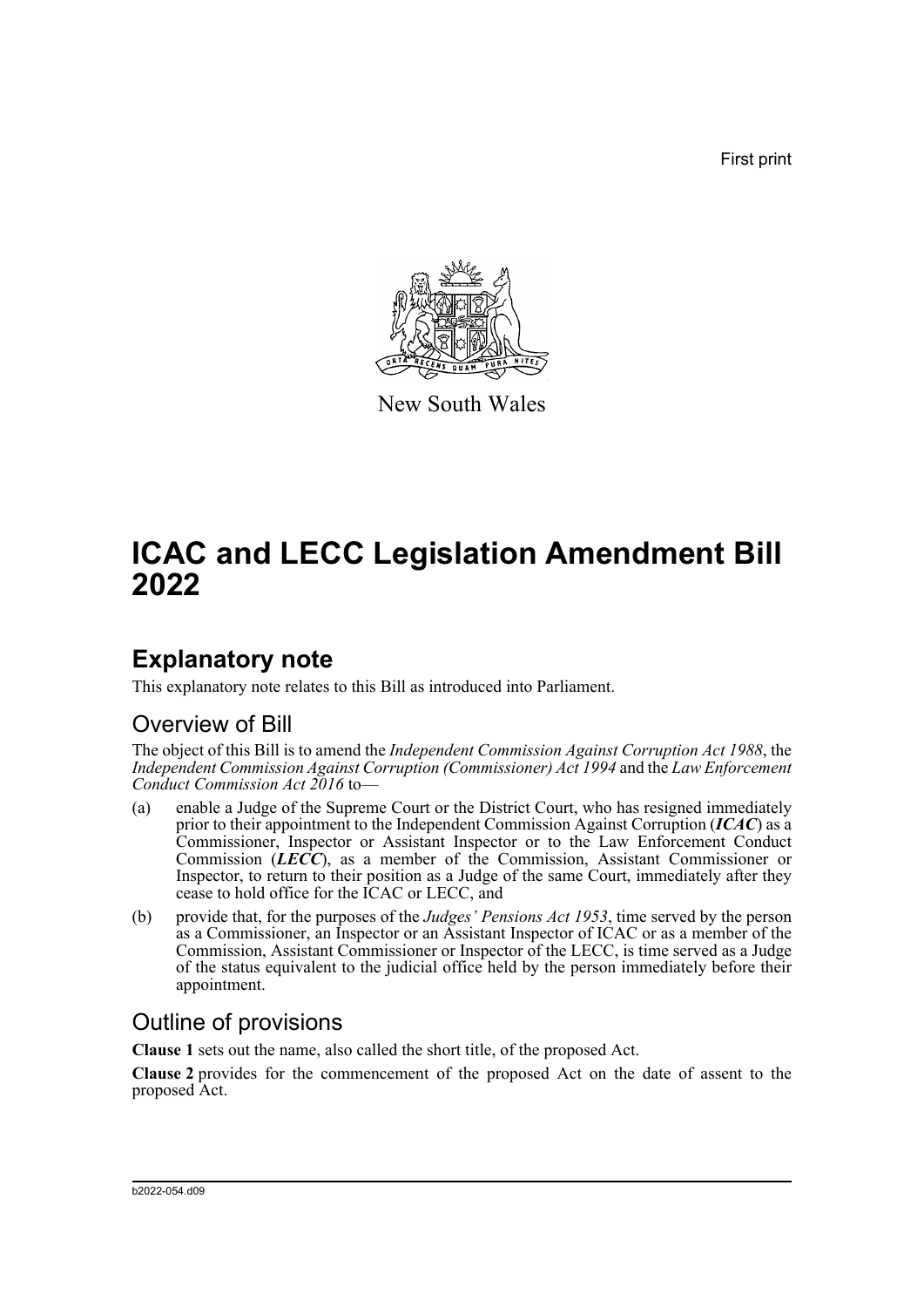First print



New South Wales

# **ICAC and LECC Legislation Amendment Bill 2022**

## **Explanatory note**

This explanatory note relates to this Bill as introduced into Parliament.

## Overview of Bill

The object of this Bill is to amend the *Independent Commission Against Corruption Act 1988*, the *Independent Commission Against Corruption (Commissioner) Act 1994* and the *Law Enforcement Conduct Commission Act 2016* to—

- (a) enable a Judge of the Supreme Court or the District Court, who has resigned immediately prior to their appointment to the Independent Commission Against Corruption (*ICAC*) as a Commissioner, Inspector or Assistant Inspector or to the Law Enforcement Conduct Commission (*LECC*), as a member of the Commission, Assistant Commissioner or Inspector, to return to their position as a Judge of the same Court, immediately after they cease to hold office for the ICAC or LECC, and
- (b) provide that, for the purposes of the *Judges' Pensions Act 1953*, time served by the person as a Commissioner, an Inspector or an Assistant Inspector of ICAC or as a member of the Commission, Assistant Commissioner or Inspector of the LECC, is time served as a Judge of the status equivalent to the judicial office held by the person immediately before their appointment.

## Outline of provisions

**Clause 1** sets out the name, also called the short title, of the proposed Act.

**Clause 2** provides for the commencement of the proposed Act on the date of assent to the proposed Act.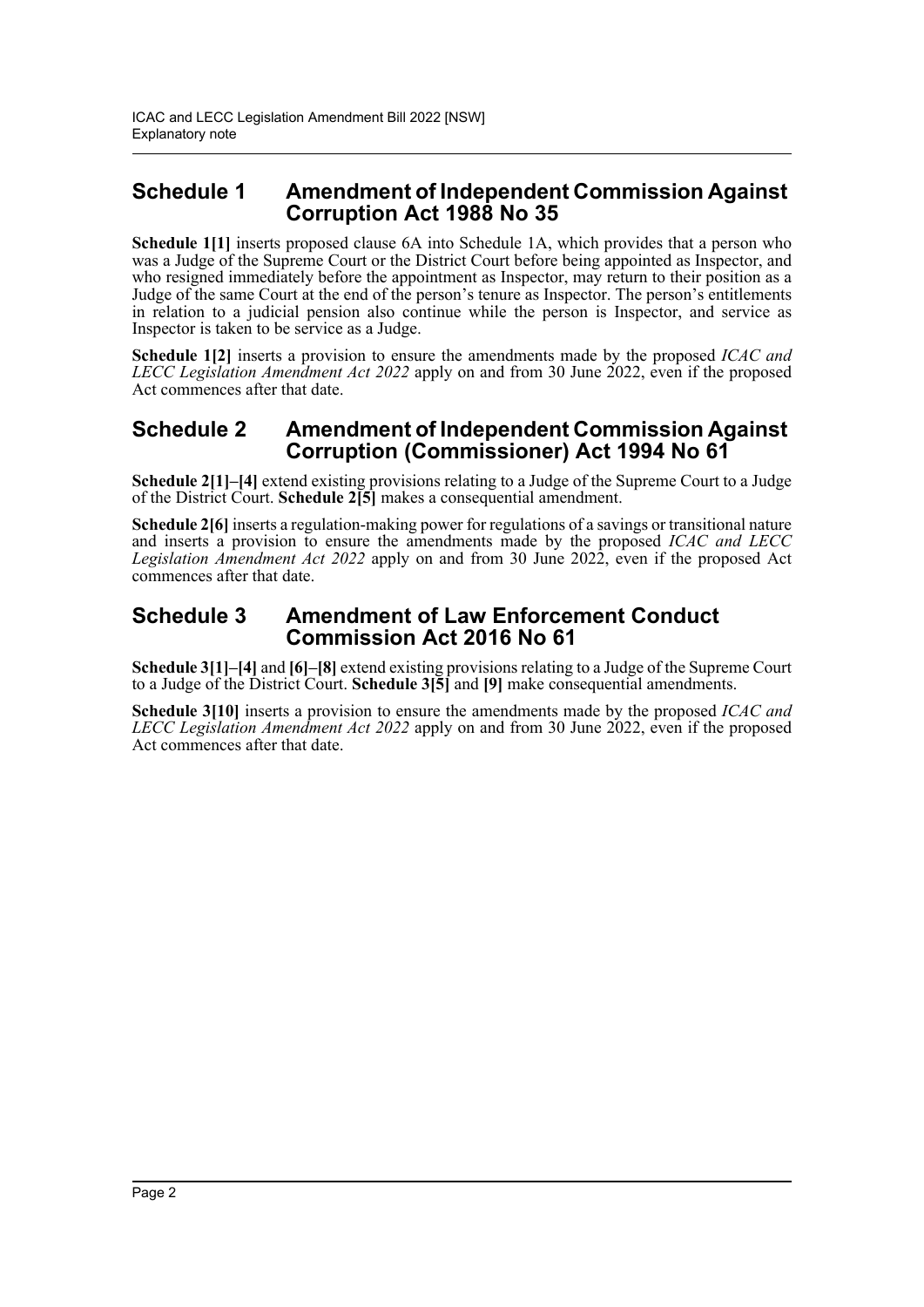### **Schedule 1 Amendment of Independent Commission Against Corruption Act 1988 No 35**

**Schedule 1[1]** inserts proposed clause 6A into Schedule 1A, which provides that a person who was a Judge of the Supreme Court or the District Court before being appointed as Inspector, and who resigned immediately before the appointment as Inspector, may return to their position as a Judge of the same Court at the end of the person's tenure as Inspector. The person's entitlements in relation to a judicial pension also continue while the person is Inspector, and service as Inspector is taken to be service as a Judge.

**Schedule 1[2]** inserts a provision to ensure the amendments made by the proposed *ICAC and LECC Legislation Amendment Act 2022* apply on and from 30 June 2022, even if the proposed Act commences after that date.

### **Schedule 2 Amendment of Independent Commission Against Corruption (Commissioner) Act 1994 No 61**

**Schedule 2[1]–[4]** extend existing provisions relating to a Judge of the Supreme Court to a Judge of the District Court. **Schedule 2[5]** makes a consequential amendment.

**Schedule 2[6]** inserts a regulation-making power for regulations of a savings or transitional nature and inserts a provision to ensure the amendments made by the proposed *ICAC and LECC Legislation Amendment Act 2022* apply on and from 30 June 2022, even if the proposed Act commences after that date.

### **Schedule 3 Amendment of Law Enforcement Conduct Commission Act 2016 No 61**

**Schedule 3[1]–[4]** and **[6]–[8]** extend existing provisions relating to a Judge of the Supreme Court to a Judge of the District Court. **Schedule 3[5]** and **[9]** make consequential amendments.

**Schedule 3[10]** inserts a provision to ensure the amendments made by the proposed *ICAC and LECC Legislation Amendment Act 2022* apply on and from 30 June 2022, even if the proposed Act commences after that date.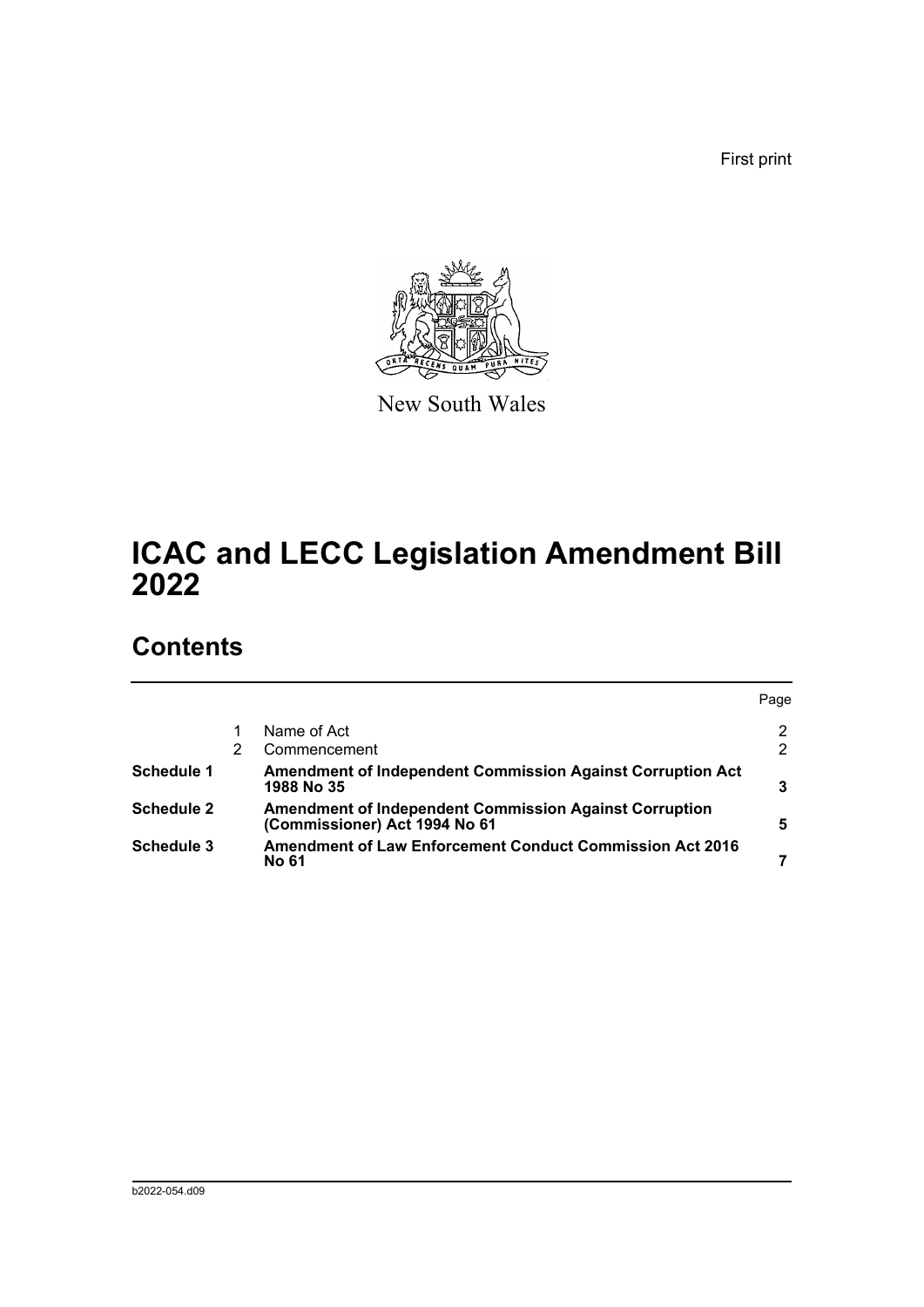First print



New South Wales

# **ICAC and LECC Legislation Amendment Bill 2022**

## **Contents**

|                   |                                                                                                | Page |
|-------------------|------------------------------------------------------------------------------------------------|------|
|                   | Name of Act                                                                                    |      |
|                   | Commencement                                                                                   | 2    |
| Schedule 1        | <b>Amendment of Independent Commission Against Corruption Act</b><br>1988 No 35                |      |
| <b>Schedule 2</b> | <b>Amendment of Independent Commission Against Corruption</b><br>(Commissioner) Act 1994 No 61 | 5    |
| Schedule 3        | <b>Amendment of Law Enforcement Conduct Commission Act 2016</b><br>No 61                       |      |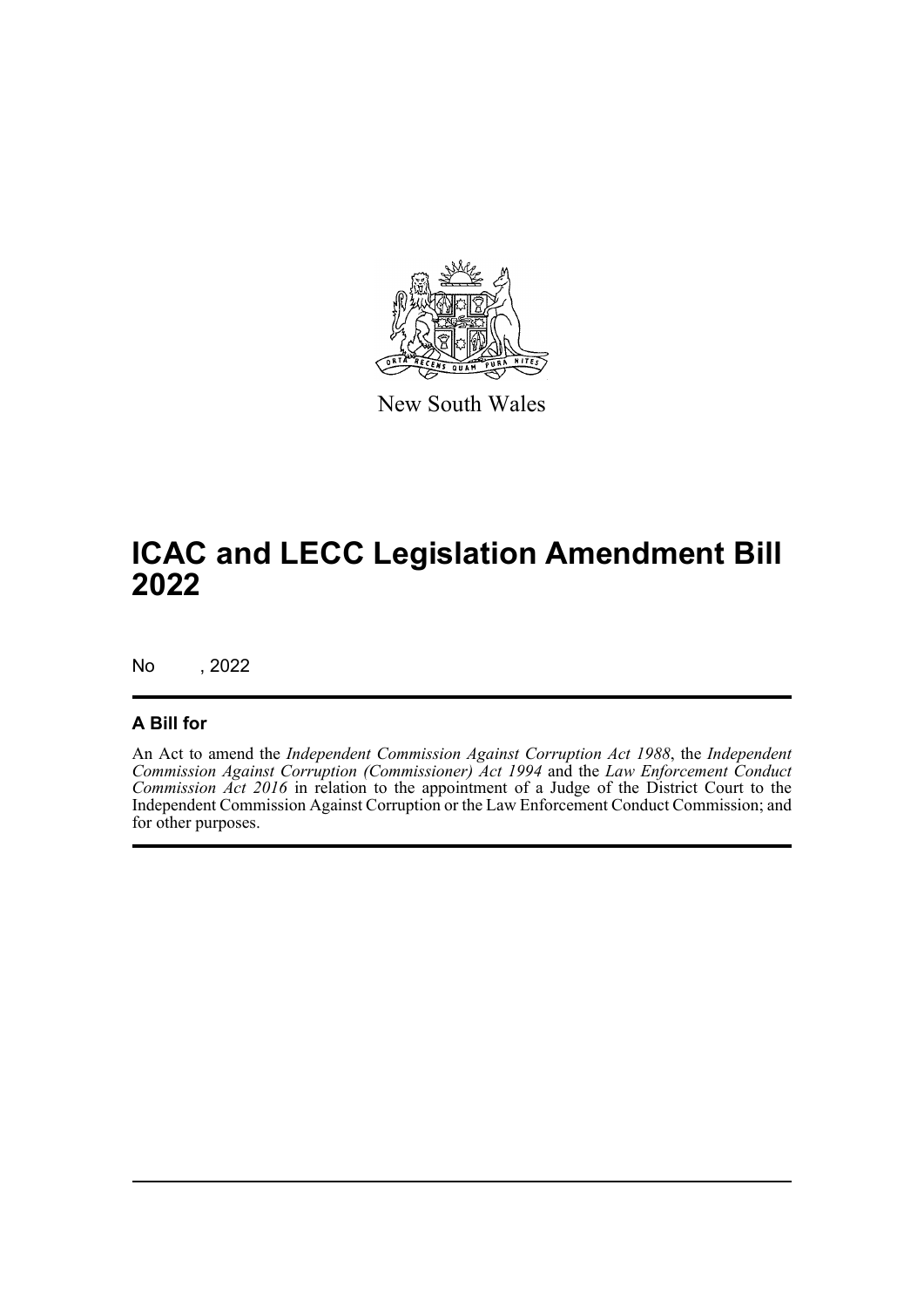

New South Wales

# **ICAC and LECC Legislation Amendment Bill 2022**

No , 2022

#### **A Bill for**

An Act to amend the *Independent Commission Against Corruption Act 1988*, the *Independent Commission Against Corruption (Commissioner) Act 1994* and the *Law Enforcement Conduct Commission Act 2016* in relation to the appointment of a Judge of the District Court to the Independent Commission Against Corruption or the Law Enforcement Conduct Commission; and for other purposes.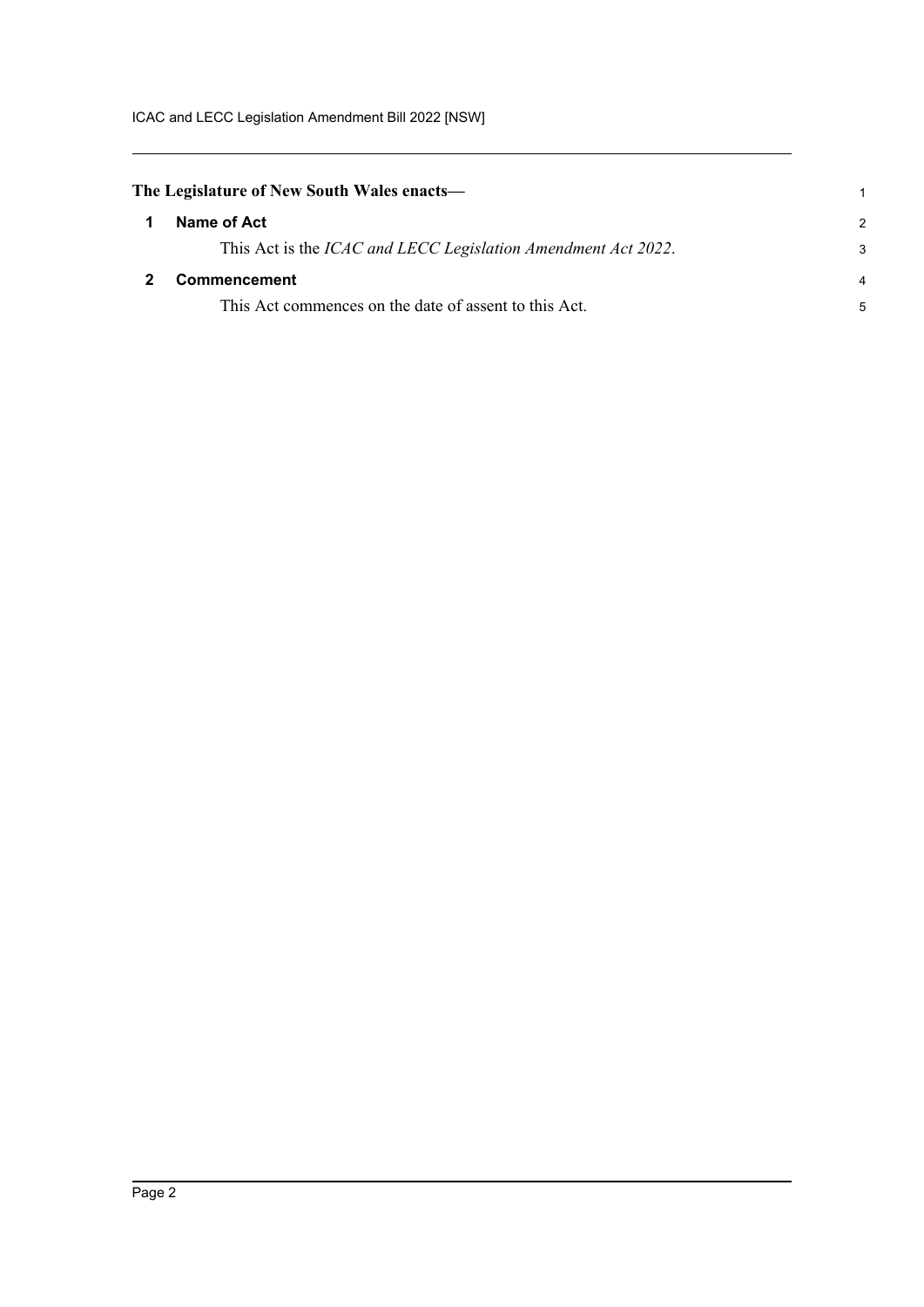<span id="page-4-1"></span><span id="page-4-0"></span>

| The Legislature of New South Wales enacts— |                                                                       |               |
|--------------------------------------------|-----------------------------------------------------------------------|---------------|
| -1                                         | Name of Act                                                           | $\mathcal{P}$ |
|                                            | This Act is the <i>ICAC and LECC Legislation Amendment Act 2022</i> . | 3             |
|                                            | <b>Commencement</b>                                                   | 4             |
|                                            | This Act commences on the date of assent to this Act.                 | 5             |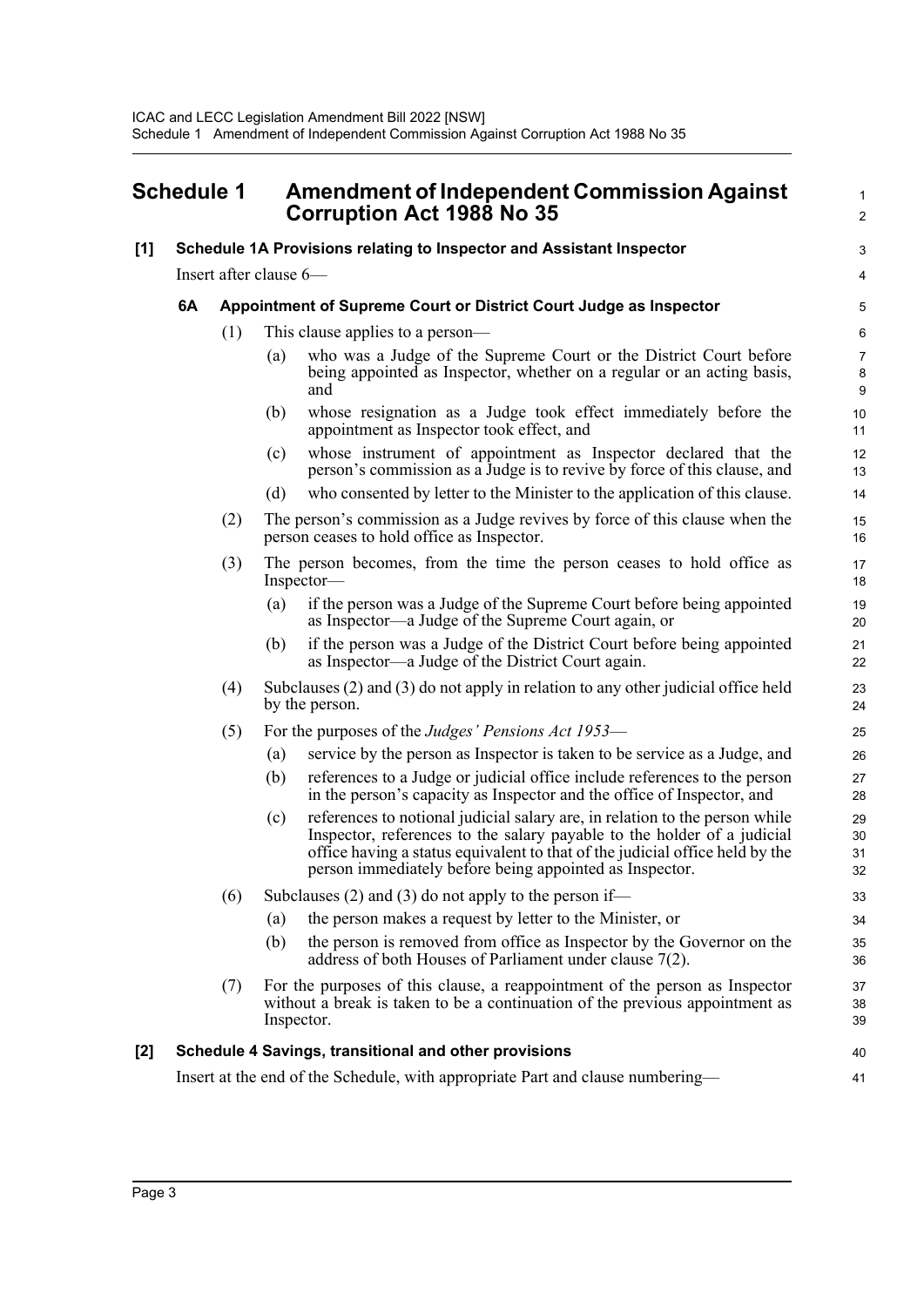## <span id="page-5-0"></span>**Schedule 1 Amendment of Independent Commission Against Corruption Act 1988 No 35**

#### **[1] Schedule 1A Provisions relating to Inspector and Assistant Inspector**

Insert after clause 6—

#### **6A Appointment of Supreme Court or District Court Judge as Inspector**

- (1) This clause applies to a person—
	- (a) who was a Judge of the Supreme Court or the District Court before being appointed as Inspector, whether on a regular or an acting basis, and

1  $\mathcal{L}$ 

3 4

 $40$ 41

- (b) whose resignation as a Judge took effect immediately before the appointment as Inspector took effect, and
- (c) whose instrument of appointment as Inspector declared that the person's commission as a Judge is to revive by force of this clause, and
- (d) who consented by letter to the Minister to the application of this clause.
- (2) The person's commission as a Judge revives by force of this clause when the person ceases to hold office as Inspector.
- (3) The person becomes, from the time the person ceases to hold office as Inspector—
	- (a) if the person was a Judge of the Supreme Court before being appointed as Inspector—a Judge of the Supreme Court again, or
	- (b) if the person was a Judge of the District Court before being appointed as Inspector—a Judge of the District Court again.
- (4) Subclauses (2) and (3) do not apply in relation to any other judicial office held by the person.
- (5) For the purposes of the *Judges' Pensions Act 1953*
	- (a) service by the person as Inspector is taken to be service as a Judge, and
	- (b) references to a Judge or judicial office include references to the person in the person's capacity as Inspector and the office of Inspector, and
	- (c) references to notional judicial salary are, in relation to the person while Inspector, references to the salary payable to the holder of a judicial office having a status equivalent to that of the judicial office held by the person immediately before being appointed as Inspector.
- (6) Subclauses (2) and (3) do not apply to the person if—
	- (a) the person makes a request by letter to the Minister, or
	- (b) the person is removed from office as Inspector by the Governor on the address of both Houses of Parliament under clause 7(2).
- (7) For the purposes of this clause, a reappointment of the person as Inspector without a break is taken to be a continuation of the previous appointment as Inspector. 37 38 39

#### **[2] Schedule 4 Savings, transitional and other provisions**

Insert at the end of the Schedule, with appropriate Part and clause numbering—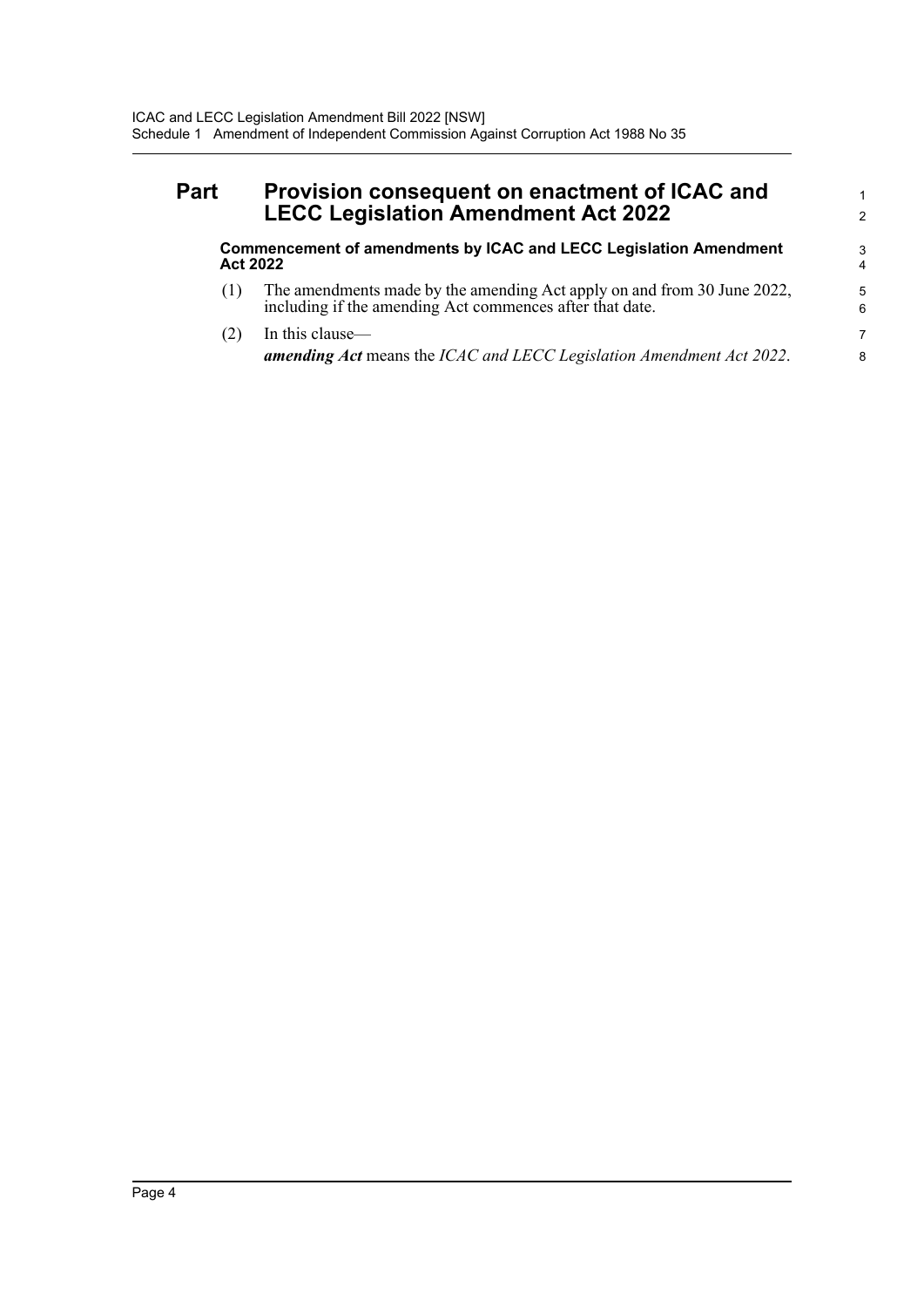### **Part Provision consequent on enactment of ICAC and LECC Legislation Amendment Act 2022**

**Commencement of amendments by ICAC and LECC Legislation Amendment Act 2022**

1 2

- (1) The amendments made by the amending Act apply on and from 30 June 2022, including if the amending Act commences after that date.
- (2) In this clause *amending Act* means the *ICAC and LECC Legislation Amendment Act 2022*.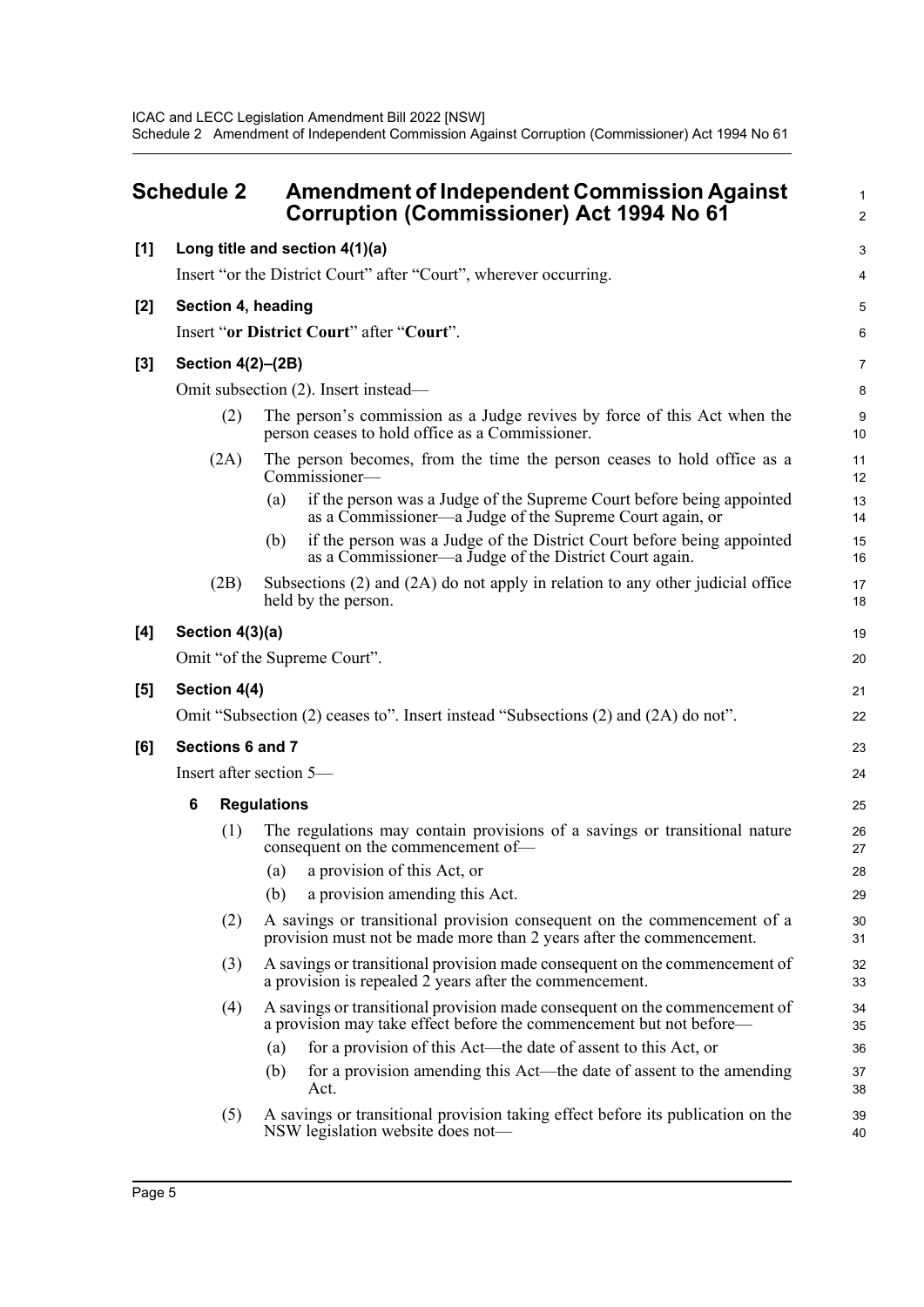<span id="page-7-0"></span>

| <b>Schedule 2</b> |              | <b>Amendment of Independent Commission Against</b><br><b>Corruption (Commissioner) Act 1994 No 61</b> |                                                                                                                                                   | 1<br>$\overline{2}$ |
|-------------------|--------------|-------------------------------------------------------------------------------------------------------|---------------------------------------------------------------------------------------------------------------------------------------------------|---------------------|
| [1]               |              |                                                                                                       | Long title and section 4(1)(a)                                                                                                                    | 3                   |
|                   |              |                                                                                                       | Insert "or the District Court" after "Court", wherever occurring.                                                                                 | 4                   |
| $[2]$             |              |                                                                                                       | Section 4, heading                                                                                                                                | 5                   |
|                   |              |                                                                                                       | Insert "or District Court" after "Court".                                                                                                         | 6                   |
| [3]               |              |                                                                                                       | Section 4(2)-(2B)                                                                                                                                 | 7                   |
|                   |              |                                                                                                       | Omit subsection (2). Insert instead—                                                                                                              | 8                   |
|                   |              | (2)                                                                                                   | The person's commission as a Judge revives by force of this Act when the<br>person ceases to hold office as a Commissioner.                       | 9<br>10             |
|                   |              | (2A)                                                                                                  | The person becomes, from the time the person ceases to hold office as a<br>Commissioner-                                                          | 11<br>12            |
|                   |              |                                                                                                       | if the person was a Judge of the Supreme Court before being appointed<br>(a)<br>as a Commissioner—a Judge of the Supreme Court again, or          | 13<br>14            |
|                   |              |                                                                                                       | if the person was a Judge of the District Court before being appointed<br>(b)<br>as a Commissioner—a Judge of the District Court again.           | 15<br>16            |
|                   |              | (2B)                                                                                                  | Subsections $(2)$ and $(2A)$ do not apply in relation to any other judicial office<br>held by the person.                                         | 17<br>18            |
| [4]               |              | Section 4(3)(a)                                                                                       |                                                                                                                                                   | 19                  |
|                   |              |                                                                                                       | Omit "of the Supreme Court".                                                                                                                      | 20                  |
| [5]               | Section 4(4) |                                                                                                       |                                                                                                                                                   |                     |
|                   |              |                                                                                                       | Omit "Subsection (2) ceases to". Insert instead "Subsections (2) and (2A) do not".                                                                | 22                  |
| [6]               |              |                                                                                                       | Sections 6 and 7                                                                                                                                  | 23                  |
|                   |              |                                                                                                       | Insert after section 5-                                                                                                                           | 24                  |
|                   | 6            |                                                                                                       | <b>Regulations</b>                                                                                                                                | 25                  |
|                   |              | (1)                                                                                                   | The regulations may contain provisions of a savings or transitional nature<br>consequent on the commencement of-                                  | 26<br>27            |
|                   |              |                                                                                                       | (a) a provision of this Act, or                                                                                                                   | 28                  |
|                   |              |                                                                                                       | a provision amending this Act.<br>(b)                                                                                                             | 29                  |
|                   |              | (2)                                                                                                   | A savings or transitional provision consequent on the commencement of a<br>provision must not be made more than 2 years after the commencement.   | 30<br>31            |
|                   |              | (3)                                                                                                   | A savings or transitional provision made consequent on the commencement of<br>a provision is repealed 2 years after the commencement.             | 32<br>33            |
|                   |              | (4)                                                                                                   | A savings or transitional provision made consequent on the commencement of<br>a provision may take effect before the commencement but not before— | 34<br>35            |
|                   |              |                                                                                                       | for a provision of this Act—the date of assent to this Act, or<br>(a)                                                                             | 36                  |
|                   |              |                                                                                                       | for a provision amending this Act—the date of assent to the amending<br>(b)<br>Act.                                                               | 37<br>38            |
|                   |              | (5)                                                                                                   | A savings or transitional provision taking effect before its publication on the<br>NSW legislation website does not-                              | 39<br>40            |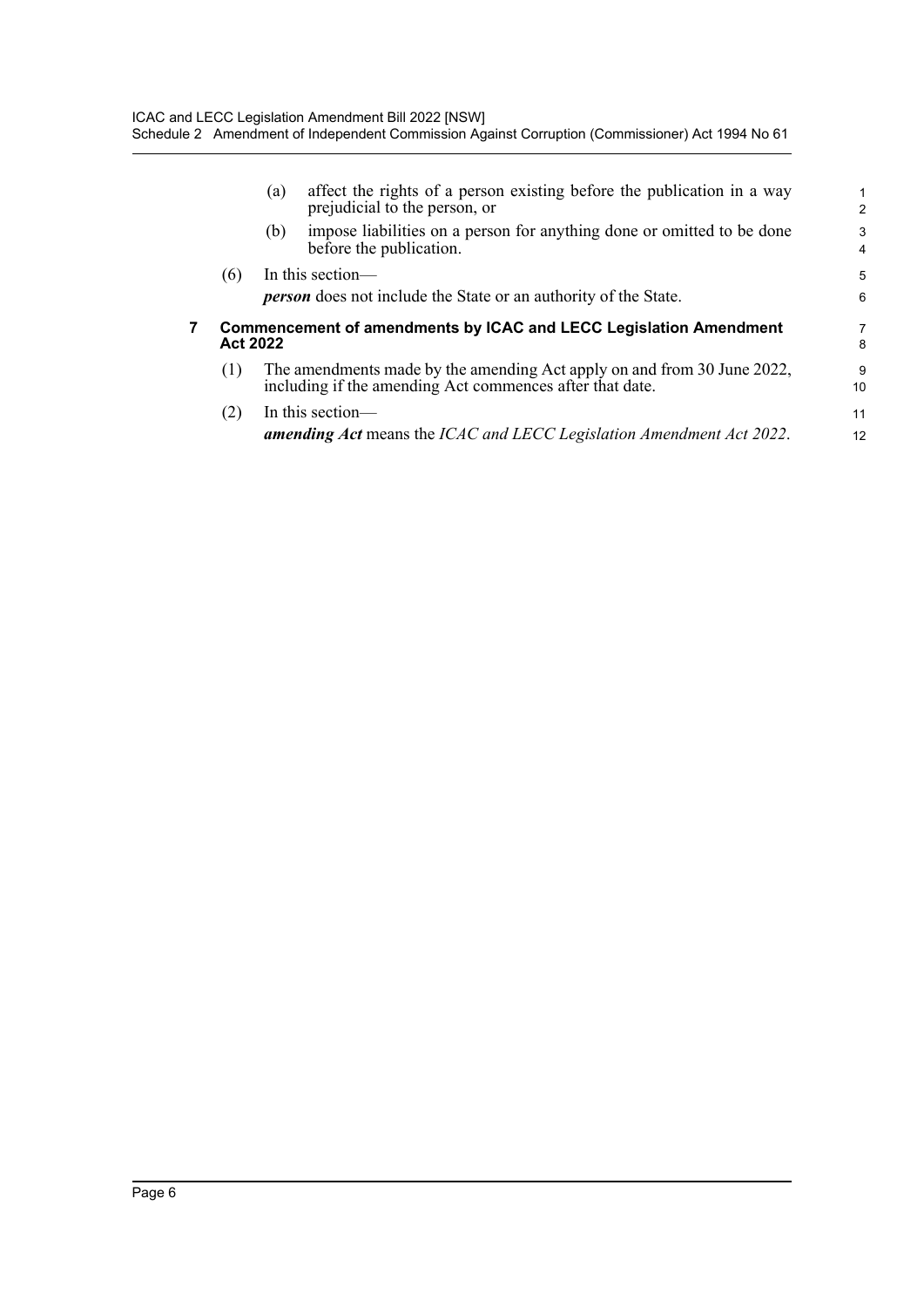|   |                 | (a) | affect the rights of a person existing before the publication in a way<br>prejudicial to the person, or                             | 1<br>$\overline{2}$ |
|---|-----------------|-----|-------------------------------------------------------------------------------------------------------------------------------------|---------------------|
|   |                 | (b) | impose liabilities on a person for anything done or omitted to be done<br>before the publication.                                   | 3<br>$\overline{4}$ |
|   | (6)             |     | In this section-<br><b>person</b> does not include the State or an authority of the State.                                          | 5<br>6              |
| 7 |                 |     |                                                                                                                                     |                     |
|   | <b>Act 2022</b> |     | <b>Commencement of amendments by ICAC and LECC Legislation Amendment</b>                                                            | 7<br>8              |
|   | (1)             |     | The amendments made by the amending Act apply on and from 30 June 2022,<br>including if the amending Act commences after that date. | 9<br>10             |
|   | (2)             |     | In this section—<br><b>amending Act</b> means the ICAC and LECC Legislation Amendment Act 2022.                                     |                     |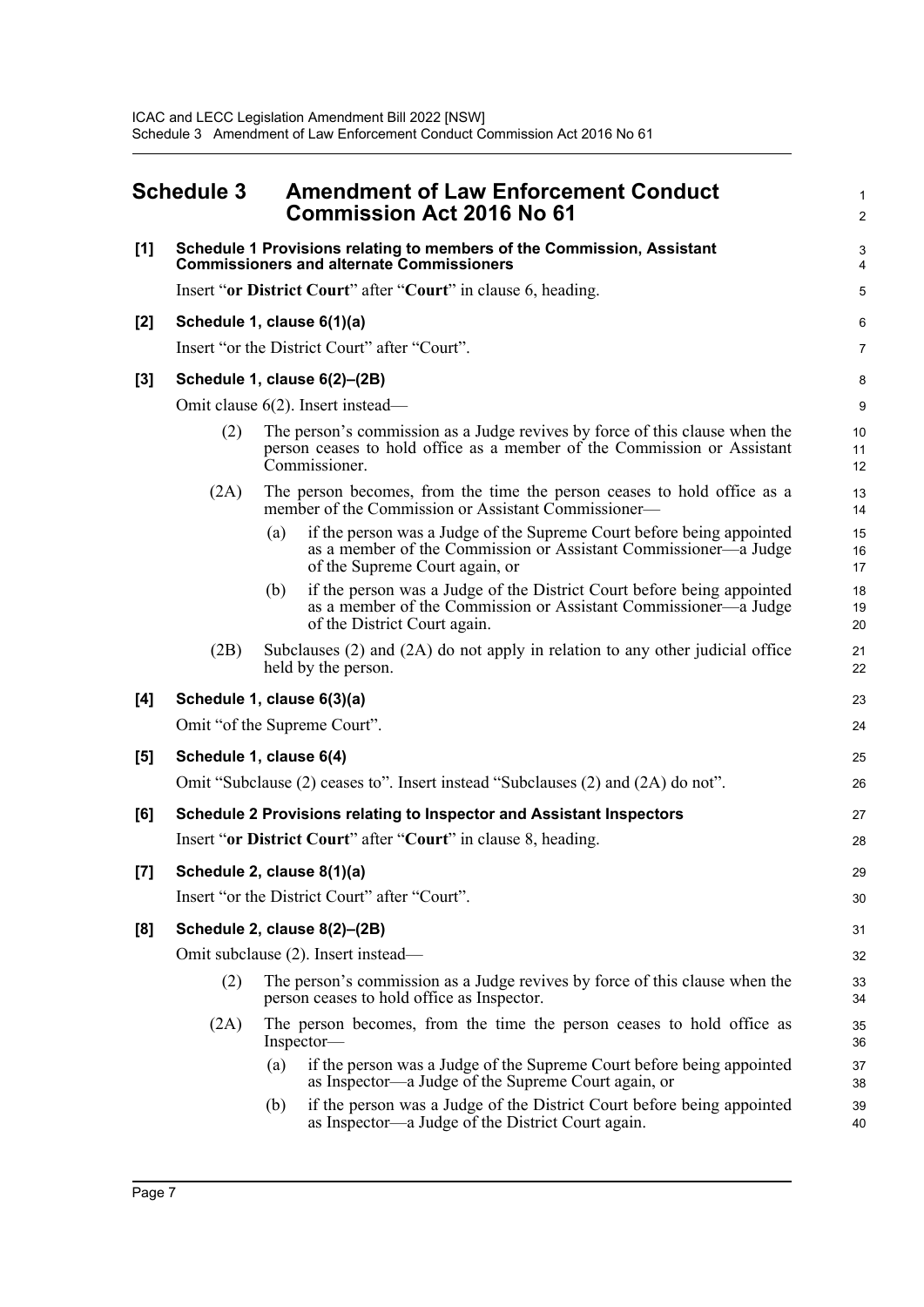<span id="page-9-0"></span>

|       | <b>Schedule 3</b>                   | <b>Amendment of Law Enforcement Conduct</b><br><b>Commission Act 2016 No 61</b>                                                                                                   | 1<br>$\overline{c}$ |
|-------|-------------------------------------|-----------------------------------------------------------------------------------------------------------------------------------------------------------------------------------|---------------------|
| [1]   |                                     | Schedule 1 Provisions relating to members of the Commission, Assistant<br><b>Commissioners and alternate Commissioners</b>                                                        | 3<br>4              |
|       |                                     | Insert "or District Court" after "Court" in clause 6, heading.                                                                                                                    | 5                   |
| $[2]$ |                                     | Schedule 1, clause 6(1)(a)                                                                                                                                                        | 6                   |
|       |                                     | Insert "or the District Court" after "Court".                                                                                                                                     | $\overline{7}$      |
| $[3]$ | Schedule 1, clause 6(2)-(2B)        |                                                                                                                                                                                   |                     |
|       |                                     | Omit clause 6(2). Insert instead—                                                                                                                                                 | 9                   |
|       | (2)                                 | The person's commission as a Judge revives by force of this clause when the<br>person ceases to hold office as a member of the Commission or Assistant<br>Commissioner.           | 10<br>11<br>12      |
|       | (2A)                                | The person becomes, from the time the person ceases to hold office as a<br>member of the Commission or Assistant Commissioner—                                                    | 13<br>14            |
|       |                                     | if the person was a Judge of the Supreme Court before being appointed<br>(a)<br>as a member of the Commission or Assistant Commissioner—a Judge<br>of the Supreme Court again, or | 15<br>16<br>17      |
|       |                                     | if the person was a Judge of the District Court before being appointed<br>(b)<br>as a member of the Commission or Assistant Commissioner—a Judge<br>of the District Court again.  | 18<br>19<br>20      |
|       | (2B)                                | Subclauses (2) and (2A) do not apply in relation to any other judicial office<br>held by the person.                                                                              | 21<br>22            |
| [4]   |                                     | Schedule 1, clause 6(3)(a)                                                                                                                                                        | 23                  |
|       |                                     | Omit "of the Supreme Court".                                                                                                                                                      | 24                  |
| [5]   |                                     | Schedule 1, clause 6(4)                                                                                                                                                           | 25                  |
|       |                                     | Omit "Subclause (2) ceases to". Insert instead "Subclauses (2) and (2A) do not".                                                                                                  | 26                  |
| [6]   |                                     | Schedule 2 Provisions relating to Inspector and Assistant Inspectors                                                                                                              | 27                  |
|       |                                     | Insert "or District Court" after "Court" in clause 8, heading.                                                                                                                    | 28                  |
| [7]   |                                     | Schedule 2, clause 8(1)(a)                                                                                                                                                        | 29                  |
|       |                                     | Insert "or the District Court" after "Court".                                                                                                                                     | 30                  |
| [8]   |                                     | Schedule 2, clause 8(2)-(2B)                                                                                                                                                      | 31                  |
|       | Omit subclause (2). Insert instead— |                                                                                                                                                                                   |                     |
|       | (2)                                 | The person's commission as a Judge revives by force of this clause when the<br>person ceases to hold office as Inspector.                                                         | 33<br>34            |
|       | (2A)                                | The person becomes, from the time the person ceases to hold office as<br>Inspector-                                                                                               | 35<br>36            |
|       |                                     | if the person was a Judge of the Supreme Court before being appointed<br>(a)<br>as Inspector—a Judge of the Supreme Court again, or                                               | 37<br>38            |
|       |                                     | if the person was a Judge of the District Court before being appointed<br>(b)<br>as Inspector—a Judge of the District Court again.                                                | 39<br>40            |